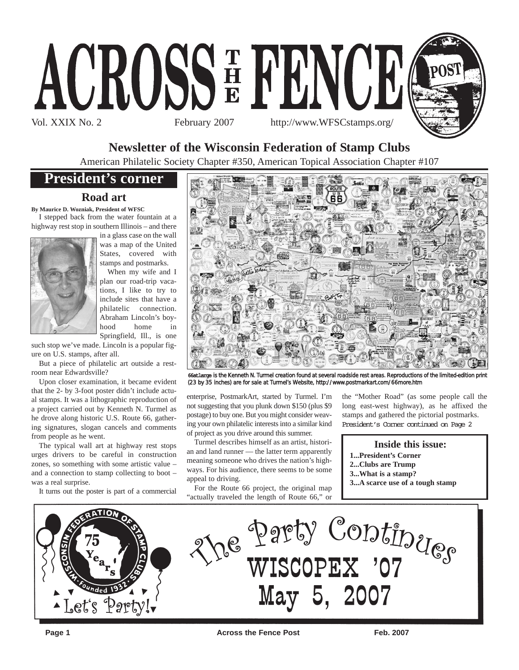



# **Newsletter of the Wisconsin Federation of Stamp Clubs**

American Philatelic Society Chapter #350, American Topical Association Chapter #107

# **President's corner**

## **Road art**

**By Maurice D. Wozniak, President of WFSC**

I stepped back from the water fountain at a highway rest stop in southern Illinois – and there



in a glass case on the wall was a map of the United States, covered with stamps and postmarks.

When my wife and I plan our road-trip vacations, I like to try to include sites that have a philatelic connection. Abraham Lincoln's boyhood home in Springfield, Ill., is one

such stop we've made. Lincoln is a popular figure on U.S. stamps, after all.

But a piece of philatelic art outside a restroom near Edwardsville?

Upon closer examination, it became evident that the 2- by 3-foot poster didn't include actual stamps. It was a lithographic reproduction of a project carried out by Kenneth N. Turmel as he drove along historic U.S. Route 66, gathering signatures, slogan cancels and comments from people as he went.

The typical wall art at highway rest stops urges drivers to be careful in construction zones, so something with some artistic value – and a connection to stamp collecting to boot – was a real surprise.

It turns out the poster is part of a commercial



66atlarge is the Kenneth N. Turmel creation found at several roadside rest areas. Reproductions of the limited-edition print (23 by 35 inches) are for sale at Turmel's Website, http://www.postmarkart.com/66more.htm

enterprise, PostmarkArt, started by Turmel. I'm not suggesting that you plunk down \$150 (plus \$9 postage) to buy one. But you might consider weaving your own philatelic interests into a similar kind of project as you drive around this summer.

Turmel describes himself as an artist, historian and land runner — the latter term apparently meaning someone who drives the nation's highways. For his audience, there seems to be some appeal to driving.

For the Route 66 project, the original map "actually traveled the length of Route 66," or the "Mother Road" (as some people call the long east-west highway), as he affixed the stamps and gathered the pictorial postmarks. President's Corner continued on Page 2

### **Inside this issue:**

- **1...President's Corner**
- **2...Clubs are Trump**
- **3...What is a stamp?**
- **3...A scarce use of a tough stamp**

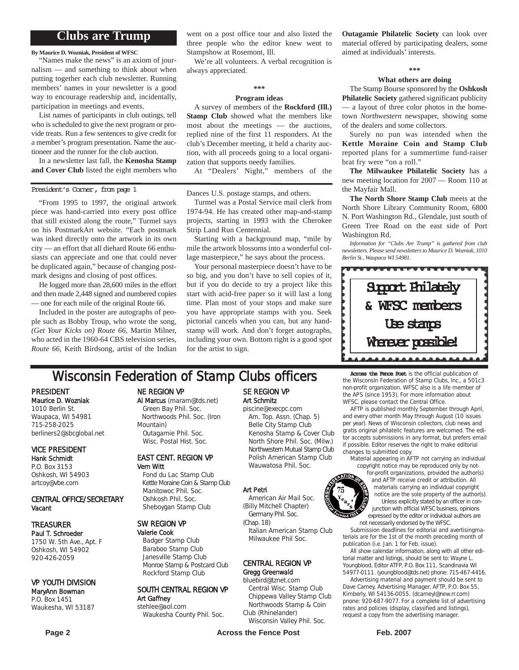## **Clubs are Trump**

**By Maurice D. Wozniak, President of WFSC**

"Names make the news" is an axiom of journalism — and something to think about when putting together each club newsletter. Running members' names in your newsletter is a good way to encourage readership and, incidentally, participation in meetings and events.

List names of participants in club outings, tell who is scheduled to give the next program or provide treats. Run a few sentences to give credit for a member's program presentation. Name the auctioneer and the runner for the club auction.

In a newsletter last fall, the **Kenosha Stamp and Cover Club** listed the eight members who

### President's Corner, from page 1

"From 1995 to 1997, the original artwork piece was hand-carried into every post office that still existed along the route," Turmel says on his PostmarkArt website. "Each postmark was inked directly onto the artwork in its own city — an effort that all diehard Route 66 enthusiasts can appreciate and one that could never be duplicated again," because of changing postmark designs and closing of post offices.

He logged more than 28,600 miles in the effort and then made 2,448 signed and numbered copies — one for each mile of the original Route 66.

Included in the poster are autographs of people such as Bobby Troup, who wrote the song, *(Get Your Kicks on) Route 66*, Martin Milner, who acted in the 1960-64 CBS television series, *Route 66*, Keith Birdsong, artist of the Indian went on a post office tour and also listed the three people who the editor knew went to Stampshow at Rosemont, Ill.

We're all volunteers. A verbal recognition is always appreciated.

## **\*\*\***

### **Program ideas**

A survey of members of the **Rockford (Ill.) Stamp Club** showed what the members like most about the meetings — the auctions, replied nine of the first 11 responders. At the club's December meeting, it held a charity auction, with all proceeds going to a local organization that supports needy families.

At "Dealers' Night," members of the

### Dances U.S. postage stamps, and others.

Turmel was a Postal Service mail clerk from 1974-94. He has created other map-and-stamp projects, starting in 1993 with the Cherokee Strip Land Run Centennial.

Starting with a background map, "mile by mile the artwork blossoms into a wonderful collage masterpiece," he says about the process.

Your personal masterpiece doesn't have to be so big, and you don't have to sell copies of it, but if you do decide to try a project like this start with acid-free paper so it will last a long time. Plan most of your stops and make sure you have appropriate stamps with you. Seek pictorial cancels when you can, but any handstamp will work. And don't forget autographs, including your own. Bottom right is a good spot for the artist to sign.

**Outagamie Philatelic Society** can look over material offered by participating dealers, some aimed at individuals' interests.

#### **\*\*\***

### **What others are doing**

The Stamp Bourse sponsored by the **Oshkosh Philatelic Society** gathered significant publicity — a layout of three color photos in the hometown *Northwestern* newspaper, showing some of the dealers and some collectors.

Surely no pun was intended when the **Kettle Moraine Coin and Stamp Club** reported plans for a summertime fund-raiser brat fry were "on a roll."

**The Milwaukee Philatelic Society** has a new meeting location for 2007 — Room 110 at the Mayfair Mall.

**The North Shore Stamp Club** meets at the North Shore Library Community Room, 6800 N. Port Washington Rd., Glendale, just south of Green Tree Road on the east side of Port Washington Rd.

*Information for "Clubs Are Trump" is gathered from club newsletters. Please send newsletters to Maurice D. Wozniak, 1010 Berlin St., Waupaca WI 54981.*



# **Wisconsin Federation of Stamp Clubs officers** Across the Fence Post is the official publication of

PRESIDENT Maurice D. Wozniak 1010 Berlin St. Waupaca, WI 54981

715-258-2025 berliners2@sbcglobal.net

### VICE PRESIDENT Hank Schmidt P.O. Box 3153

Oshkosh, WI 54903 artcoy@vbe.com

### CENTRAL OFFICE/SECRETARY Vacant

### TREASURER

Paul T. Schroeder 1750 W. 5th Ave., Apt. F Oshkosh, WI 54902 920-426-2059

### VP YOUTH DIVISION

### MaryAnn Bowman P.O. Box 1451 Waukesha, WI 53187

NE REGION VP

Al Marcus (maram@tds.net) Green Bay Phil. Soc. Northwoods Phil. Soc. (Iron Mountain) Outagamie Phil. Soc. Wisc. Postal Hist. Soc.

### EAST CENT. REGION VP Vern Witt

Fond du Lac Stamp Club Kettle Moraine Coin & Stamp Club Manitowoc Phil. Soc. Oshkosh Phil. Soc. Sheboygan Stamp Club

### SW REGION VP

Valerie Cook Badger Stamp Club Baraboo Stamp Club Janesville Stamp Club Monroe Stamp & Postcard Club Rockford Stamp Club

# SOUTH CENTRAL REGION VP

Art Gaffney stehlee@aol.com Waukesha County Phil. Soc.

## SE REGION VP Art Schmitz

piscine@execpc.com Am. Top. Assn. (Chap. 5) Belle City Stamp Club Kenosha Stamp & Cover Club North Shore Phil. Soc. (Milw.) Northwestern Mutual Stamp Club Polish American Stamp Club Wauwatosa Phil. Soc.

### Art Petri

American Air Mail Soc. (Billy Mitchell Chapter) Germany Phil. Soc.

(Chap. 18) Italian American Stamp Club Milwaukee Phil Soc.

### CENTRAL REGION VP Gregg Greenwald

### bluebird@tznet.com

Central Wisc. Stamp Club Chippewa Valley Stamp Club Northwoods Stamp & Coin Club (Rhinelander)

Wisconsin Valley Phil. Soc.

the Wisconsin Federation of Stamp Clubs, Inc., a 501c3 non-profit organization. WFSC also is a life member of the APS (since 1953). For more information about WFSC, please contact the Central Office.

AFTP is published monthly September through April, and every other month May through August (10 issues per year). News of Wisconsin collectors, club news and gratis original philatelic features are welcomed. The editor accepts submissions in any format, but prefers email if possible. Editor reserves the right to make editorial changes to submitted copy.

Material appearing in AFTP not carrying an individual copyright notice may be reproduced only by not-

for-profit organizations, provided the author(s) and AFTP receive credit or attribution. All materials carrying an individual copyright notice are the sole property of the author(s). Unless explicitly stated by an officer in conjunction with official WFSC business, opinions expressed by the editor or individual authors are not necessarily endorsed by the WFSC.

Submission deadlines for editorial and avertisingmaterials are for the 1st of the month preceding month of publication (i.e. Jan. 1 for Feb. issue).

All show calendar information, along with all other editorial matter and listings, should be sent to: Wayne L. Youngblood, Editor ATFP, P.O. Box 111, Scandinavia WI 54977-0111. (youngblood@tds.net) phone: 715-467-4416.

Advertising material and payment should be sent to Dave Carney, Advertising Manager, AFTP, P.O. Box 55, Kimberly, WI 54136-0055. (dcarneyl@new.rr.com) pnone: 920-687-9077. For a complete list of advertising rates and policies (display, classified and listings), request a copy from the advertising manager.

**Page 2 Across the Fence Post** Feb. 2007

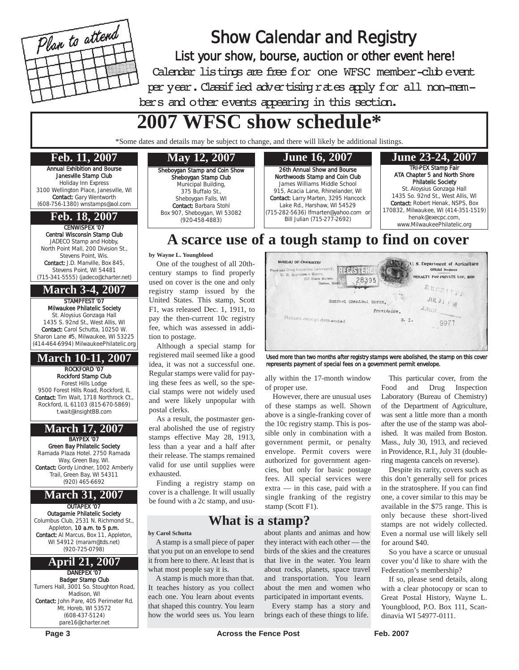

Show Calendar and Registry List your show, bourse, auction or other event here! Calendar listings are free for one WFSC member-club event per year. Classified advertising rates apply for all non-members and other events appearing in this section.

# **2007 WFSC show schedule\***

\*Some dates and details may be subject to change, and there will likely be additional listings.

### **Feb. 11, 2007**

Annual Exhibition and Bourse Janesville Stamp Club Holiday Inn Express 3100 Wellington Place, Janesville, WI Contact: Gary Wentworth (608-756-1380) wnstamps@aol.com

### CENWISPEX '07 **Feb. 18, 2007**

Central Wisconsin Stamp Club JADECO Stamp and Hobby, North Point Mall, 200 Division St., Stevens Point, Wis. Contact: J.D. Manville, Box 845, Stevens Point, WI 54481 (715-341-5555) (jadeco@charter.net)

**March 3-4, 2007**

STAMPFEST '07 Milwaukee Philatelic Society St. Aloysius Gonzaga Hall 1435 S. 92nd St., West Allis, WI Contact: Carol Schutta, 10250 W. Sharon Lane #5, Milwaukee, WI 53225 (414-464-6994) MilwaukeePhilatelic.org

## **March 10-11, 2007**

ROCKFORD '07 Rockford Stamp Club Forest Hills Lodge 9500 Forest Hills Road, Rockford, IL Contact: Tim Wait, 1718 Northrock Ct., Rockford, IL 61103 (815-670-5869) t.wait@insightBB.com

## **March 17, 2007**

BAYPEX '07 Green Bay Philatelic Society Ramada Plaza Hotel. 2750 Ramada Way, Green Bay, WI. Contact: Gordy Lindner, 1002 Amberly Trail, Green Bay, WI 54311 (920) 465-6692

# **March 31, 2007**

OUTAPEX '07 Outagamie Philatelic Society Columbus Club, 2531 N. Richmond St., Appleton, 10 a.m. to 5 p.m.

Contact: Al Marcus, Box 11, Appleton, WI 54912 (maram@tds.net) (920-725-0798)

### DANEPEX '07 **April 21, 2007**

Badger Stamp Club Turners Hall, 3001 So. Stoughton Road, Madison, WI Contact: John Pare, 405 Perimeter Rd. Mt. Horeb, WI 53572 (608-437-5124) pare16@charter.net

# Sheboygan Stamp and Coin Show

Sheboygan Stamp Club Municipal Building, 375 Buffalo St., Sheboygan Falls, WI Contact: Barbara Stohl Box 907, Sheboygan, WI 53082 (920-458-4883)



### TRI-PEX Stamp Fair ATA Chapter 5 and North Shore Philatelic Society St. Aloysius Gonzaga Hall 1435 So. 92nd St., West Allis, WI Contact: Robert Henak, NSPS, Box 170832, Milwaukee, WI (414-351-1519) henak@execpc.com, www.MilwaukeePhilatelic.org

# **A scarce use of a tough stamp to find on cover**

### **by Wayne L. Youngblood**

One of the toughest of all 20thcentury stamps to find properly used on cover is the one and only registry stamp issued by the United States. This stamp, Scott F1, was released Dec. 1, 1911, to pay the then-current 10c registry fee, which was assessed in addition to postage.

Although a special stamp for registered mail seemed like a good idea, it was not a successful one. Regular stamps were valid for paying these fees as well, so the special stamps were not widely used and were likely unpopular with postal clerks.

As a result, the postmaster general abolished the use of registry stamps effective May 28, 1913, less than a year and a half after their release. The stamps remained valid for use until supplies were exhausted.

Finding a registry stamp on cover is a challenge. It will usually be found with a 2c stamp, and usu-

## **What is a stamp?**

**by Carol Schutta**

A stamp is a small piece of paper that you put on an envelope to send it from here to there. At least that is what most people say it is.

A stamp is much more than that. It teaches history as you collect each one. You learn about events that shaped this country. You learn how the world sees us. You learn **BUREAU OF CHEMISTRY Willet** U.S. Department of Agriculture **REGISTER** and Drug Inspection Labo PENALTY FOR PRIVATE USE, \$300 177 State Str 28395 BECZITTD JUL31 FW Runford Chemical Works, ANSD. Providence. Return receipt demanded. R. I. 9977

Used more than two months after registry stamps were abolished, the stamp on this cover represents payment of special fees on a government permit envelope.

ally within the 17-month window of proper use.

However, there are unusual uses of these stamps as well. Shown above is a single-franking cover of the 10c registry stamp. This is possible only in combination with a government permit, or penalty envelope. Permit covers were authorized for government agencies, but only for basic postage fees. All special services were extra — in this case, paid with a single franking of the registry stamp (Scott F1).

about plants and animas and how they interact with each other — the birds of the skies and the creatures that live in the water. You learn about rocks, planets, space travel and transportation. You learn about the men and women who participated in important events. Every stamp has a story and brings each of these things to life.

This particular cover, from the Food and Drug Inspection Laboratory (Bureau of Chemistry) of the Department of Agriculture, was sent a little more than a month after the use of the stamp was abolished. It was mailed from Boston. Mass., July 30, 1913, and recieved in Providence, R.I., July 31 (doublering magenta cancels on reverse).

Despite its rarity, covers such as this don't generally sell for prices in the stratosphere. If you can find one, a cover similar to this may be available in the \$75 range. This is only because these short-lived stamps are not widely collected. Even a normal use will likely sell for around \$40.

So you have a scarce or unusual cover you'd like to share with the Federation's membership?

If so, please send details, along with a clear photocopy or scan to Great Postal History, Wayne L. Youngblood, P.O. Box 111, Scandinavia WI 54977-0111.